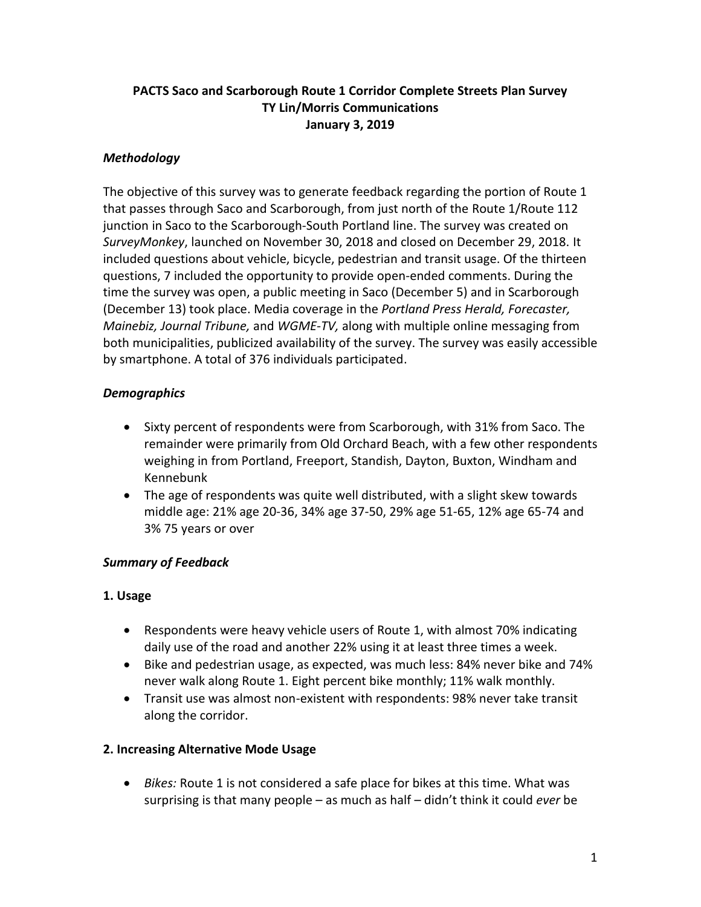## **PACTS Saco and Scarborough Route 1 Corridor Complete Streets Plan Survey TY Lin/Morris Communications January 3, 2019**

# *Methodology*

The objective of this survey was to generate feedback regarding the portion of Route 1 that passes through Saco and Scarborough, from just north of the Route 1/Route 112 junction in Saco to the Scarborough-South Portland line. The survey was created on *SurveyMonkey*, launched on November 30, 2018 and closed on December 29, 2018. It included questions about vehicle, bicycle, pedestrian and transit usage. Of the thirteen questions, 7 included the opportunity to provide open-ended comments. During the time the survey was open, a public meeting in Saco (December 5) and in Scarborough (December 13) took place. Media coverage in the *Portland Press Herald, Forecaster, Mainebiz, Journal Tribune,* and *WGME-TV,* along with multiple online messaging from both municipalities, publicized availability of the survey. The survey was easily accessible by smartphone. A total of 376 individuals participated.

# *Demographics*

- Sixty percent of respondents were from Scarborough, with 31% from Saco. The remainder were primarily from Old Orchard Beach, with a few other respondents weighing in from Portland, Freeport, Standish, Dayton, Buxton, Windham and Kennebunk
- The age of respondents was quite well distributed, with a slight skew towards middle age: 21% age 20-36, 34% age 37-50, 29% age 51-65, 12% age 65-74 and 3% 75 years or over

# *Summary of Feedback*

#### **1. Usage**

- Respondents were heavy vehicle users of Route 1, with almost 70% indicating daily use of the road and another 22% using it at least three times a week.
- Bike and pedestrian usage, as expected, was much less: 84% never bike and 74% never walk along Route 1. Eight percent bike monthly; 11% walk monthly.
- Transit use was almost non-existent with respondents: 98% never take transit along the corridor.

#### **2. Increasing Alternative Mode Usage**

 *Bikes:* Route 1 is not considered a safe place for bikes at this time. What was surprising is that many people – as much as half – didn't think it could *ever* be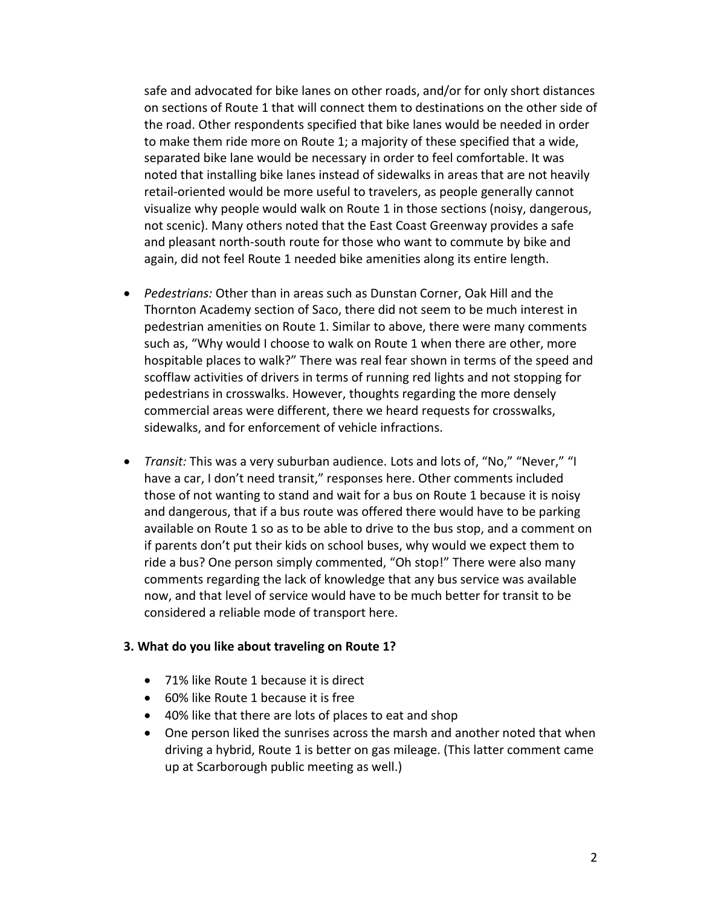safe and advocated for bike lanes on other roads, and/or for only short distances on sections of Route 1 that will connect them to destinations on the other side of the road. Other respondents specified that bike lanes would be needed in order to make them ride more on Route 1; a majority of these specified that a wide, separated bike lane would be necessary in order to feel comfortable. It was noted that installing bike lanes instead of sidewalks in areas that are not heavily retail-oriented would be more useful to travelers, as people generally cannot visualize why people would walk on Route 1 in those sections (noisy, dangerous, not scenic). Many others noted that the East Coast Greenway provides a safe and pleasant north-south route for those who want to commute by bike and again, did not feel Route 1 needed bike amenities along its entire length.

- *Pedestrians:* Other than in areas such as Dunstan Corner, Oak Hill and the Thornton Academy section of Saco, there did not seem to be much interest in pedestrian amenities on Route 1. Similar to above, there were many comments such as, "Why would I choose to walk on Route 1 when there are other, more hospitable places to walk?" There was real fear shown in terms of the speed and scofflaw activities of drivers in terms of running red lights and not stopping for pedestrians in crosswalks. However, thoughts regarding the more densely commercial areas were different, there we heard requests for crosswalks, sidewalks, and for enforcement of vehicle infractions.
- *Transit:* This was a very suburban audience. Lots and lots of, "No," "Never," "I have a car, I don't need transit," responses here. Other comments included those of not wanting to stand and wait for a bus on Route 1 because it is noisy and dangerous, that if a bus route was offered there would have to be parking available on Route 1 so as to be able to drive to the bus stop, and a comment on if parents don't put their kids on school buses, why would we expect them to ride a bus? One person simply commented, "Oh stop!" There were also many comments regarding the lack of knowledge that any bus service was available now, and that level of service would have to be much better for transit to be considered a reliable mode of transport here.

#### **3. What do you like about traveling on Route 1?**

- 71% like Route 1 because it is direct
- 60% like Route 1 because it is free
- 40% like that there are lots of places to eat and shop
- One person liked the sunrises across the marsh and another noted that when driving a hybrid, Route 1 is better on gas mileage. (This latter comment came up at Scarborough public meeting as well.)